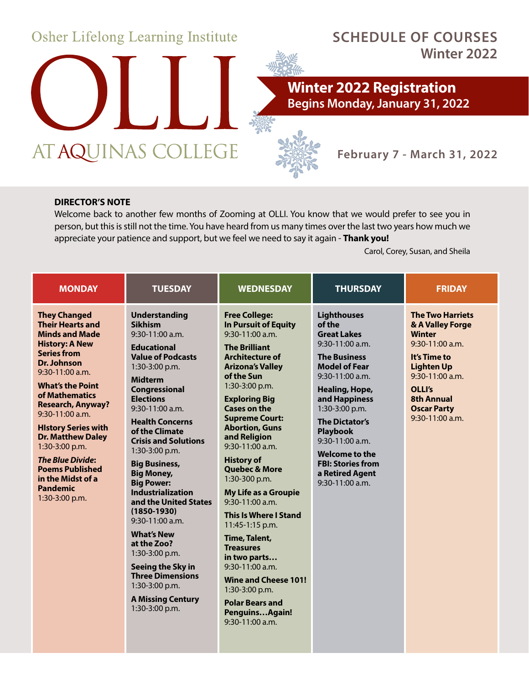

#### **DIRECTOR'S NOTE**

Welcome back to another few months of Zooming at OLLI. You know that we would prefer to see you in person, but this is still not the time. You have heard from us many times over the last two years how much we appreciate your patience and support, but we feel we need to say it again - **Thank you!** 

Carol, Corey, Susan, and Sheila

| <b>MONDAY</b>                                                                                                                                                                                                                                                                                                                                                                                                                                   | <b>TUESDAY</b>                                                                                                                                                                                                                                                                                                                                                                                                                                                                                                                                                                                                                                  | <b>WEDNESDAY</b>                                                                                                                                                                                                                                                                                                                                                                                                                                                                                                                                                                                                                                                                      | <b>THURSDAY</b>                                                                                                                                                                                                                                                                                                                                       | <b>FRIDAY</b>                                                                                                                                                                                                       |
|-------------------------------------------------------------------------------------------------------------------------------------------------------------------------------------------------------------------------------------------------------------------------------------------------------------------------------------------------------------------------------------------------------------------------------------------------|-------------------------------------------------------------------------------------------------------------------------------------------------------------------------------------------------------------------------------------------------------------------------------------------------------------------------------------------------------------------------------------------------------------------------------------------------------------------------------------------------------------------------------------------------------------------------------------------------------------------------------------------------|---------------------------------------------------------------------------------------------------------------------------------------------------------------------------------------------------------------------------------------------------------------------------------------------------------------------------------------------------------------------------------------------------------------------------------------------------------------------------------------------------------------------------------------------------------------------------------------------------------------------------------------------------------------------------------------|-------------------------------------------------------------------------------------------------------------------------------------------------------------------------------------------------------------------------------------------------------------------------------------------------------------------------------------------------------|---------------------------------------------------------------------------------------------------------------------------------------------------------------------------------------------------------------------|
| <b>They Changed</b><br><b>Their Hearts and</b><br><b>Minds and Made</b><br><b>History: A New</b><br><b>Series from</b><br>Dr. Johnson<br>9:30-11:00 a.m.<br><b>What's the Point</b><br>of Mathematics<br><b>Research, Anyway?</b><br>9:30-11:00 a.m.<br><b>History Series with</b><br><b>Dr. Matthew Daley</b><br>1:30-3:00 p.m.<br><b>The Blue Divide:</b><br><b>Poems Published</b><br>in the Midst of a<br><b>Pandemic</b><br>1:30-3:00 p.m. | <b>Understanding</b><br><b>Sikhism</b><br>$9:30-11:00$ a.m.<br><b>Educational</b><br><b>Value of Podcasts</b><br>1:30-3:00 p.m.<br><b>Midterm</b><br>Congressional<br><b>Elections</b><br>$9:30-11:00$ a.m.<br><b>Health Concerns</b><br>of the Climate<br><b>Crisis and Solutions</b><br>1:30-3:00 p.m.<br><b>Big Business,</b><br><b>Big Money,</b><br><b>Big Power:</b><br><b>Industrialization</b><br>and the United States<br>$(1850 - 1930)$<br>$9:30-11:00$ a.m.<br><b>What's New</b><br>at the Zoo?<br>$1:30-3:00$ p.m.<br>Seeing the Sky in<br><b>Three Dimensions</b><br>1:30-3:00 p.m.<br><b>A Missing Century</b><br>1:30-3:00 p.m. | <b>Free College:</b><br><b>In Pursuit of Equity</b><br>9:30-11:00 a.m.<br><b>The Brilliant</b><br><b>Architecture of</b><br><b>Arizona's Valley</b><br>of the Sun<br>$1:30-3:00$ p.m.<br><b>Exploring Big</b><br><b>Cases on the</b><br><b>Supreme Court:</b><br><b>Abortion, Guns</b><br>and Religion<br>9:30-11:00 a.m.<br><b>History of</b><br><b>Quebec &amp; More</b><br>1:30-300 p.m.<br>My Life as a Groupie<br>9:30-11:00 a.m.<br><b>This Is Where I Stand</b><br>11:45-1:15 p.m.<br>Time, Talent,<br><b>Treasures</b><br>in two parts<br>$9:30-11:00$ a.m.<br><b>Wine and Cheese 101!</b><br>1:30-3:00 p.m.<br><b>Polar Bears and</b><br>PenguinsAgain!<br>$9:30-11:00$ a.m. | <b>Lighthouses</b><br>of the<br><b>Great Lakes</b><br>$9:30-11:00$ a.m.<br><b>The Business</b><br><b>Model of Fear</b><br>$9:30-11:00$ a.m.<br>Healing, Hope,<br>and Happiness<br>1:30-3:00 p.m.<br><b>The Dictator's</b><br><b>Playbook</b><br>$9:30-11:00$ a.m.<br>Welcome to the<br><b>FBI: Stories from</b><br>a Retired Agent<br>9:30-11:00 a.m. | <b>The Two Harriets</b><br>& A Valley Forge<br><b>Winter</b><br>$9:30-11:00$ a.m.<br>It's Time to<br><b>Lighten Up</b><br>9:30-11:00 a.m.<br>OLLI's<br><b>8th Annual</b><br><b>Oscar Party</b><br>$9:30-11:00$ a.m. |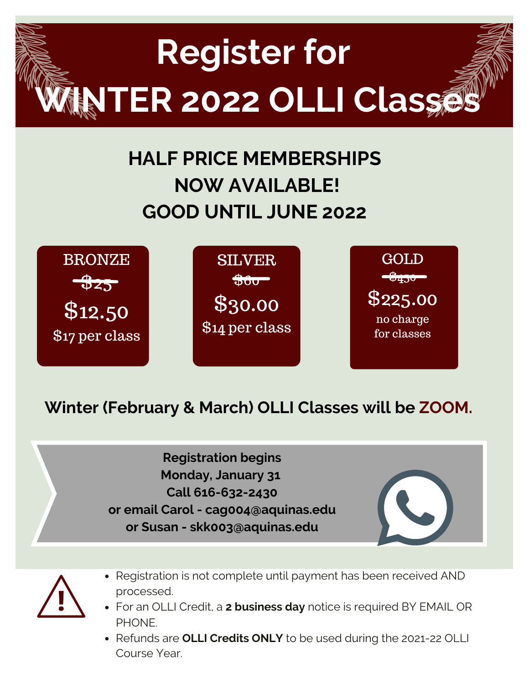

# **HALF PRICE MEMBERSHIPS NOW AVAILABLE! GOOD UNTIL JUNE 2022**



### **Winter (February & March) OLLI Classes will be ZOOM.**

**Registration begins Monday, January 31 Call 616-632-2430 or email Carol - cag004@aquinas.edu or Susan - skk003@aquinas.edu**



- Registration is not complete until payment has been received AND processed.
- For an OLLI Credit, a **2 business day** notice is required BY EMAIL OR PHONE.
- Refunds are **OLLI Credits ONLY** to be used during the 2021-22 OLLI Course Year.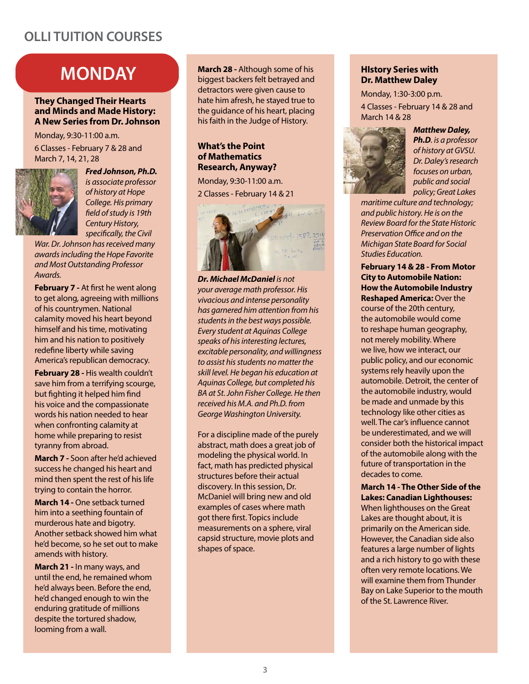### **OLLI TUITION COURSES**

## **MONDAY**

#### **They Changed Their Hearts and Minds and Made History: A New Series from Dr. Johnson**

Monday, 9:30-11:00 a.m.

6 Classes - February 7 & 28 and March 7, 14, 21, 28



*Fred Johnson, Ph.D. is associate professor of history at Hope College. His primary field of study is 19th Century History, specifically, the Civil* 

*War. Dr. Johnson has received many awards including the Hope Favorite and Most Outstanding Professor Awards.* 

**February 7 -** At first he went along to get along, agreeing with millions of his countrymen. National calamity moved his heart beyond himself and his time, motivating him and his nation to positively redefine liberty while saving America's republican democracy.

**February 28 -** His wealth couldn't save him from a terrifying scourge, but fighting it helped him find his voice and the compassionate words his nation needed to hear when confronting calamity at home while preparing to resist tyranny from abroad.

**March 7 -** Soon after he'd achieved success he changed his heart and mind then spent the rest of his life trying to contain the horror.

**March 14 -** One setback turned him into a seething fountain of murderous hate and bigotry. Another setback showed him what he'd become, so he set out to make amends with history.

**March 21 -** In many ways, and until the end, he remained whom he'd always been. Before the end, he'd changed enough to win the enduring gratitude of millions despite the tortured shadow, looming from a wall.

**March 28 -** Although some of his biggest backers felt betrayed and detractors were given cause to hate him afresh, he stayed true to the guidance of his heart, placing his faith in the Judge of History.

#### **What's the Point of Mathematics Research, Anyway?**

Monday, 9:30-11:00 a.m. 2 Classes - February 14 & 21



*Dr. Michael McDaniel is not your average math professor. His vivacious and intense personality has garnered him attention from his students in the best ways possible. Every student at Aquinas College speaks of his interesting lectures, excitable personality, and willingness to assist his students no matter the skill level. He began his education at Aquinas College, but completed his BA at St. John Fisher College. He then received his M.A. and Ph.D. from George Washington University.*

For a discipline made of the purely abstract, math does a great job of modeling the physical world. In fact, math has predicted physical structures before their actual discovery. In this session, Dr. McDaniel will bring new and old examples of cases where math got there first. Topics include measurements on a sphere, viral capsid structure, movie plots and shapes of space.

#### **HIstory Series with Dr. Matthew Daley**

Monday, 1:30-3:00 p.m. 4 Classes - February 14 & 28 and March 14 & 28



*Matthew Daley, Ph.D. is a professor of history at GVSU. Dr. Daley's research focuses on urban, public and social policy; Great Lakes* 

*maritime culture and technology; and public history. He is on the Review Board for the State Historic Preservation Office and on the Michigan State Board for Social Studies Education.*

**February 14 & 28 - From Motor City to Automobile Nation: How the Automobile Industry Reshaped America:** Over the course of the 20th century, the automobile would come to reshape human geography, not merely mobility. Where we live, how we interact, our public policy, and our economic systems rely heavily upon the automobile. Detroit, the center of the automobile industry, would be made and unmade by this technology like other cities as well. The car's influence cannot be underestimated, and we will consider both the historical impact of the automobile along with the future of transportation in the decades to come.

**March 14 - The Other Side of the Lakes: Canadian Lighthouses:**  When lighthouses on the Great Lakes are thought about, it is primarily on the American side. However, the Canadian side also features a large number of lights and a rich history to go with these often very remote locations. We will examine them from Thunder Bay on Lake Superior to the mouth of the St. Lawrence River.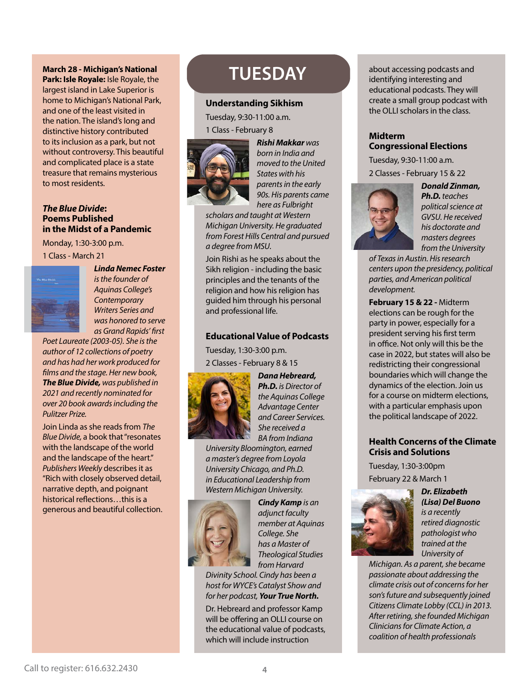#### **March 28 - Michigan's National**

**Park: Isle Royale:** Isle Royale, the largest island in Lake Superior is home to Michigan's National Park, and one of the least visited in the nation. The island's long and distinctive history contributed to its inclusion as a park, but not without controversy. This beautiful and complicated place is a state treasure that remains mysterious to most residents.

#### *The Blue Divide***: Poems Published in the Midst of a Pandemic**

Monday, 1:30-3:00 p.m. 1 Class - March 21



*Linda Nemec Foster is the founder of Aquinas College's Contemporary Writers Series and was honored to serve as Grand Rapids' first* 

*Poet Laureate (2003-05). She is the author of 12 collections of poetry and has had her work produced for films and the stage. Her new book, The Blue Divide, was published in 2021 and recently nominated for over 20 book awards including the Pulitzer Prize.*

Join Linda as she reads from *The Blue Divide,* a book that "resonates with the landscape of the world and the landscape of the heart." *Publishers Weekly* describes it as "Rich with closely observed detail, narrative depth, and poignant historical reflections…this is a generous and beautiful collection.

## **TUESDAY**

#### **Understanding Sikhism**

Tuesday, 9:30-11:00 a.m. 1 Class - February 8



*Rishi Makkar was born in India and moved to the United States with his parents in the early 90s. His parents came here as Fulbright* 

*scholars and taught at Western Michigan University. He graduated from Forest Hills Central and pursued a degree from MSU.*

Join Rishi as he speaks about the Sikh religion - including the basic principles and the tenants of the religion and how his religion has guided him through his personal and professional life.

#### **Educational Value of Podcasts**

Tuesday, 1:30-3:00 p.m. 2 Classes - February 8 & 15



*Dana Hebreard, Ph.D. is Director of the Aquinas College Advantage Center and Career Services. She received a BA from Indiana* 

*University Bloomington, earned a master's degree from Loyola University Chicago, and Ph.D. in Educational Leadership from Western Michigan University.* 



*Cindy Kamp is an adjunct faculty member at Aquinas College. She has a Master of Theological Studies from Harvard* 

*Divinity School. Cindy has been a host for WYCE's Catalyst Show and for her podcast, Your True North.* Dr. Hebreard and professor Kamp will be offering an OLLI course on

the educational value of podcasts, which will include instruction

about accessing podcasts and identifying interesting and educational podcasts. They will create a small group podcast with the OLLI scholars in the class.

#### **Midterm Congressional Elections**

Tuesday, 9:30-11:00 a.m. 2 Classes - February 15 & 22



*Donald Zinman, Ph.D. teaches political science at GVSU. He received his doctorate and masters degrees from the University* 

*of Texas in Austin. His research centers upon the presidency, political parties, and American political development.*

**February 15 & 22 -** Midterm elections can be rough for the party in power, especially for a president serving his first term in office. Not only will this be the case in 2022, but states will also be redistricting their congressional boundaries which will change the dynamics of the election. Join us for a course on midterm elections, with a particular emphasis upon the political landscape of 2022.

#### **Health Concerns of the Climate Crisis and Solutions**

Tuesday, 1:30-3:00pm February 22 & March 1



*Dr. Elizabeth (Lisa) Del Buono is a recently retired diagnostic pathologist who trained at the University of* 

*Michigan. As a parent, she became passionate about addressing the climate crisis out of concerns for her son's future and subsequently joined Citizens Climate Lobby (CCL) in 2013. After retiring, she founded Michigan Clinicians for Climate Action, a coalition of health professionals*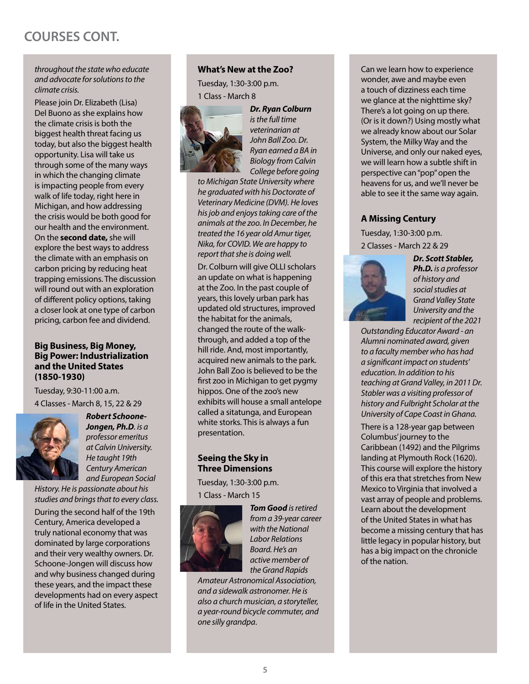### **COURSES CONT.**

#### *throughout the state who educate and advocate for solutions to the climate crisis.*

Please join Dr. Elizabeth (Lisa) Del Buono as she explains how the climate crisis is both the biggest health threat facing us today, but also the biggest health opportunity. Lisa will take us through some of the many ways in which the changing climate is impacting people from every walk of life today, right here in Michigan, and how addressing the crisis would be both good for our health and the environment. On the **second date,** she will explore the best ways to address the climate with an emphasis on carbon pricing by reducing heat trapping emissions. The discussion will round out with an exploration of different policy options, taking a closer look at one type of carbon pricing, carbon fee and dividend.

#### **Big Business, Big Money, Big Power: Industrialization and the United States (1850-1930)**

Tuesday, 9:30-11:00 a.m. 4 Classes - March 8, 15, 22 & 29



*Robert Schoone-Jongen, Ph.D. is a professor emeritus at Calvin University. He taught 19th Century American and European Social* 

*History. He is passionate about his studies and brings that to every class.*

During the second half of the 19th Century, America developed a truly national economy that was dominated by large corporations and their very wealthy owners. Dr. Schoone-Jongen will discuss how and why business changed during these years, and the impact these developments had on every aspect of life in the United States.

#### **What's New at the Zoo?**

Tuesday, 1:30-3:00 p.m. 1 Class - March 8



*Dr. Ryan Colburn is the full time veterinarian at John Ball Zoo. Dr. Ryan earned a BA in Biology from Calvin College before going* 

*to Michigan State University where he graduated with his Doctorate of Veterinary Medicine (DVM). He loves his job and enjoys taking care of the animals at the zoo. In December, he treated the 16 year old Amur tiger, Nika, for COVID. We are happy to report that she is doing well.*

Dr. Colburn will give OLLI scholars an update on what is happening at the Zoo. In the past couple of years, this lovely urban park has updated old structures, improved the habitat for the animals, changed the route of the walkthrough, and added a top of the hill ride. And, most importantly, acquired new animals to the park. John Ball Zoo is believed to be the first zoo in Michigan to get pygmy hippos. One of the zoo's new exhibits will house a small antelope called a sitatunga, and European white storks. This is always a fun presentation.

#### **Seeing the Sky in Three Dimensions**

Tuesday, 1:30-3:00 p.m. 1 Class - March 15



*Tom Good is retired from a 39-year career with the National Labor Relations Board. He's an active member of the Grand Rapids* 

*Amateur Astronomical Association, and a sidewalk astronomer. He is also a church musician, a storyteller, a year-round bicycle commuter, and one silly grandpa*.

Can we learn how to experience wonder, awe and maybe even a touch of dizziness each time we glance at the nighttime sky? There's a lot going on up there. (Or is it down?) Using mostly what we already know about our Solar System, the Milky Way and the Universe, and only our naked eyes, we will learn how a subtle shift in perspective can "pop" open the heavens for us, and we'll never be able to see it the same way again.

#### **A Missing Century**

Tuesday, 1:30-3:00 p.m. 2 Classes - March 22 & 29



*Dr. Scott Stabler, Ph.D. is a professor of history and social studies at Grand Valley State University and the recipient of the 2021* 

*Outstanding Educator Award - an Alumni nominated award, given to a faculty member who has had a significant impact on students' education. In addition to his teaching at Grand Valley, in 2011 Dr. Stabler was a visiting professor of history and Fulbright Scholar at the University of Cape Coast in Ghana.* 

There is a 128-year gap between Columbus' journey to the Caribbean (1492) and the Pilgrims landing at Plymouth Rock (1620). This course will explore the history of this era that stretches from New Mexico to Virginia that involved a vast array of people and problems. Learn about the development of the United States in what has become a missing century that has little legacy in popular history, but has a big impact on the chronicle of the nation.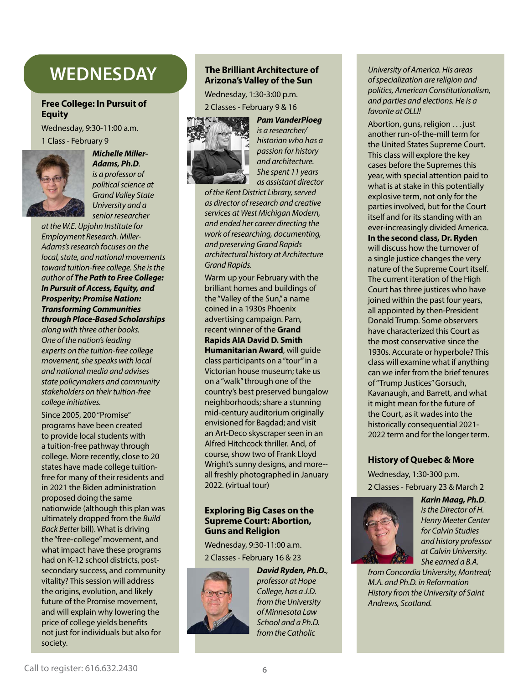## **WEDNESDAY**

#### **Free College: In Pursuit of Equity**

Wednesday, 9:30-11:00 a.m. 1 Class - February 9



#### *Michelle Miller-Adams, Ph.D. is a professor of political science at Grand Valley State University and a senior researcher*

*at the W.E. Upjohn Institute for Employment Research. Miller-Adams's research focuses on the local, state, and national movements toward tuition-free college. She is the author of The Path to Free College: In Pursuit of Access, Equity, and Prosperity; Promise Nation: Transforming Communities through Place-Based Scholarships along with three other books. One of the nation's leading* 

*experts on the tuition-free college movement, she speaks with local and national media and advises state policymakers and community stakeholders on their tuition-free college initiatives.*

Since 2005, 200 "Promise" programs have been created to provide local students with a tuition-free pathway through college. More recently, close to 20 states have made college tuitionfree for many of their residents and in 2021 the Biden administration proposed doing the same nationwide (although this plan was ultimately dropped from the *Build Back Better* bill). What is driving the "free-college" movement, and what impact have these programs had on K-12 school districts, postsecondary success, and community vitality? This session will address the origins, evolution, and likely future of the Promise movement, and will explain why lowering the price of college yields benefits not just for individuals but also for society.

#### **The Brilliant Architecture of Arizona's Valley of the Sun**

Wednesday, 1:30-3:00 p.m. 2 Classes - February 9 & 16





*Pam VanderPloeg is a researcher/ historian who has a passion for history and architecture. She spent 11 years as assistant director* 

*of the Kent District Library, served as director of research and creative services at West Michigan Modern, and ended her career directing the work of researching, documenting, and preserving Grand Rapids architectural history at Architecture Grand Rapids.*

Warm up your February with the brilliant homes and buildings of the "Valley of the Sun," a name coined in a 1930s Phoenix advertising campaign. Pam, recent winner of the **Grand Rapids AIA David D. Smith Humanitarian Award**, will guide class participants on a "tour" in a Victorian house museum; take us on a "walk" through one of the country's best preserved bungalow neighborhoods; share a stunning mid-century auditorium originally envisioned for Bagdad; and visit an Art-Deco skyscraper seen in an Alfred Hitchcock thriller. And, of course, show two of Frank Lloyd Wright's sunny designs, and more- all freshly photographed in January 2022. (virtual tour)

#### **Exploring Big Cases on the Supreme Court: Abortion, Guns and Religion**

Wednesday, 9:30-11:00 a.m. 2 Classes - February 16 & 23



*David Ryden, Ph.D., professor at Hope College, has a J.D. from the University of Minnesota Law School and a Ph.D. from the Catholic* 

*University of America. His areas of specialization are religion and politics, American Constitutionalism, and parties and elections. He is a favorite at OLLI!*

Abortion, guns, religion . . . just another run-of-the-mill term for the United States Supreme Court. This class will explore the key cases before the Supremes this year, with special attention paid to what is at stake in this potentially explosive term, not only for the parties involved, but for the Court itself and for its standing with an ever-increasingly divided America. **In the second class, Dr. Ryden** will discuss how the turnover of a single justice changes the very nature of the Supreme Court itself. The current iteration of the High Court has three justices who have joined within the past four years, all appointed by then-President Donald Trump. Some observers have characterized this Court as the most conservative since the 1930s. Accurate or hyperbole? This class will examine what if anything can we infer from the brief tenures of "Trump Justices" Gorsuch, Kavanaugh, and Barrett, and what it might mean for the future of the Court, as it wades into the historically consequential 2021- 2022 term and for the longer term.

#### **History of Quebec & More**

Wednesday, 1:30-300 p.m. 2 Classes - February 23 & March 2



*Karin Maag, Ph.D. is the Director of H. Henry Meeter Center for Calvin Studies and history professor at Calvin University. She earned a B.A.* 

*from Concordia University, Montreal; M.A. and Ph.D. in Reformation History from the University of Saint Andrews, Scotland.*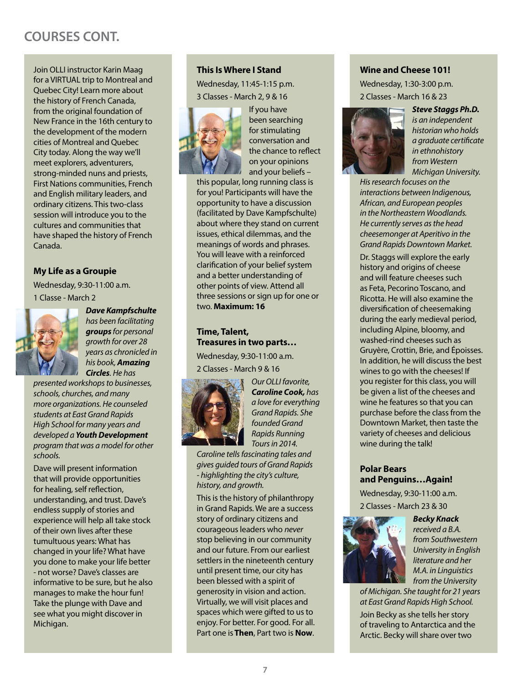### **COURSES CONT.**

Join OLLI instructor Karin Maag for a VIRTUAL trip to Montreal and Quebec City! Learn more about the history of French Canada, from the original foundation of New France in the 16th century to the development of the modern cities of Montreal and Quebec City today. Along the way we'll meet explorers, adventurers, strong-minded nuns and priests, First Nations communities, French and English military leaders, and ordinary citizens. This two-class session will introduce you to the cultures and communities that have shaped the history of French Canada.

#### **My Life as a Groupie**

Wednesday, 9:30-11:00 a.m. 1 Classe - March 2



*Dave Kampfschulte has been facilitating groups for personal growth for over 28 years as chronicled in his book, Amazing Circles. He has* 

*presented workshops to businesses, schools, churches, and many more organizations. He counseled students at East Grand Rapids High School for many years and developed a Youth Development program that was a model for other schools.*

Dave will present information that will provide opportunities for healing, self reflection, understanding, and trust. Dave's endless supply of stories and experience will help all take stock of their own lives after these tumultuous years: What has changed in your life? What have you done to make your life better - not worse? Dave's classes are informative to be sure, but he also manages to make the hour fun! Take the plunge with Dave and see what you might discover in Michigan.

#### **This Is Where I Stand**

Wednesday, 11:45-1:15 p.m. 3 Classes - March 2, 9 & 16



If you have been searching for stimulating conversation and the chance to reflect on your opinions and your beliefs –

this popular, long running class is for you! Participants will have the opportunity to have a discussion (facilitated by Dave Kampfschulte) about where they stand on current issues, ethical dilemmas, and the meanings of words and phrases. You will leave with a reinforced clarification of your belief system and a better understanding of other points of view. Attend all three sessions or sign up for one or two. **Maximum: 16**

#### **Time, Talent, Treasures in two parts…**

Wednesday, 9:30-11:00 a.m. 2 Classes - March 9 & 16



*Our OLLI favorite, Caroline Cook, has a love for everything Grand Rapids. She founded Grand Rapids Running Tours in 2014.* 

*Caroline tells fascinating tales and gives guided tours of Grand Rapids - highlighting the city's culture, history, and growth.*

This is the history of philanthropy in Grand Rapids. We are a success story of ordinary citizens and courageous leaders who *never* stop believing in our community and our future. From our earliest settlers in the nineteenth century until present time, our city has been blessed with a spirit of generosity in vision and action. Virtually, we will visit places and spaces which were gifted to us to enjoy. For better. For good. For all. Part one is **Then**, Part two is **Now**.

#### **Wine and Cheese 101!**

**The Early History of Cheese**

Wednesday, 1:30-3:00 p.m. Wednesday, 1:30-3:30 p.m. 2 Classes - March 16 & 23  $V$ edriesday, 1.50-5.00



*Steve Staggs Ph.D. Stephen Staggs, Ph.D., an independent historian who holds a graduate is an independent historian who holds a graduate certificate focuses on the interactions between Indigenous, African, and European in ethnohistory peoples in the Northeastern Woodlands. He currently serves as the head from Western cheese at Aperitive in the Grand Rapids Downtown Market. Michigan University. certificate in ethnohistory from Western Michigan University. His research* 

*His research focuses on the interactions between Indigenous, African, and European peoples in the Northeastern Woodlands. He currently serves as the head cheesemonger at Aperitivo in the* will always be a selection of the carrently selves as the neural every cheese. And the cheese is a selection of cheese. And behind every cheese. And a selection of the cheese is a selecti *Grand Rapids Downtown Market.* fascinating tale of how it came to be. Dr. Staggs will explore the early history and origins of cheese In this course Dr. Staggs will host two virtual aperitivo hours (classes) to explore the early and will feature cheeses such class will also include a tasting of the tasting of the tasting of the tasting o

different as Feta, Pecorino Toscano, and will feature and will feature and will feature **Cheese such as Feta, Pecorino Toscano, Pecorino Toscano, Pecorino Toscano, Pecorino Toscano, Pecorino Toscano** diversification of cheesemaking during the early medieval period, including  $\alpha$ during the early medieval period, the three cheeses (with a three bottles of wine three bottles of wine three bottles of wine that Dr. Staggs wi washed-rind cheeses such as washed-rind cheeses such as<br>Gruyère, Crottin, Brie, and Époisses. In addition, he will discuss the best wines to go with the cheeses! If you register for this class, you will be given a list of the cheeses and wine he features so that you can purchase before the class from the Downtown Market, then taste the variety of cheeses and delicious wine during the talk!

#### **Polar Bears and Penguins…Again!**

Wednesday, 9:30-11:00 a.m. 2 Classes - March 23 & 30



*Becky Knack received a B.A. from Southwestern University in English literature and her M.A. in Linguistics from the University* 

*of Michigan. She taught for 21 years at East Grand Rapids High School.*

Join Becky as she tells her story of traveling to Antarctica and the Arctic. Becky will share over two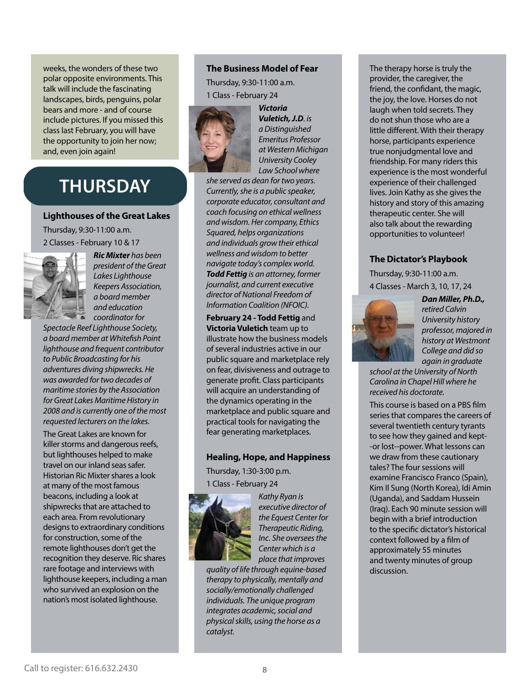weeks, the wonders of these two polar opposite environments. This talk will include the fascinating landscapes, birds, penguins, polar bears and more - and of course include pictures. If you missed this class last February, you will have the opportunity to join her now; and, even join again!

## **THURSDAY**

#### **Lighthouses of the Great Lakes**

Thursday, 9:30-11:00 a.m. 2 Classes - February 10 & 17



*Ric Mixter has been president of the Great Lakes Lighthouse Keepers Association, a board member and education coordinator for* 

*Spectacle Reef Lighthouse Society, a board member at Whitefish Point lighthouse and frequent contributor to Public Broadcasting for his adventures diving shipwrecks. He was awarded for two decades of maritime stories by the Association for Great Lakes Maritime History in 2008 and is currently one of the most requested lecturers on the lakes.*

The Great Lakes are known for killer storms and dangerous reefs, but lighthouses helped to make travel on our inland seas safer. Historian Ric Mixter shares a look at many of the most famous beacons, including a look at shipwrecks that are attached to each area. From revolutionary designs to extraordinary conditions for construction, some of the remote lighthouses don't get the recognition they deserve. Ric shares rare footage and interviews with lighthouse keepers, including a man who survived an explosion on the nation's most isolated lighthouse.

#### **The Business Model of Fear**

Thursday, 9:30-11:00 a.m. 1 Class - February 24



*Victoria Vuletich, J.D. is a Distinguished Emeritus Professor at Western Michigan University Cooley Law School where* 

*she served as dean for two years. Currently, she is a public speaker, corporate educator, consultant and coach focusing on ethical wellness and wisdom. Her company, Ethics Squared, helps organizations and individuals grow their ethical wellness and wisdom to better navigate today's complex world. Todd Fettig is an attorney, former journalist, and current executive director of National Freedom of Information Coalition (NFOIC).*

**February 24 - Todd Fettig** and **Victoria Vuletich** team up to illustrate how the business models of several industries active in our public square and marketplace rely on fear, divisiveness and outrage to generate profit. Class participants will acquire an understanding of the dynamics operating in the marketplace and public square and practical tools for navigating the fear generating marketplaces.

#### **Healing, Hope, and Happiness**

Thursday, 1:30-3:00 p.m. 1 Class - February 24



*Kathy Ryan is executive director of the Equest Center for Therapeutic Riding, Inc*. *She oversees the Center which is a place that improves* 

*quality of life through equine-based therapy to physically, mentally and socially/emotionally challenged individuals. The unique program integrates academic, social and physical skills, using the horse as a catalyst.*

The therapy horse is truly the provider, the caregiver, the friend, the confidant, the magic, the joy, the love. Horses do not laugh when told secrets. They do not shun those who are a little different. With their therapy horse, participants experience true nonjudgmental love and friendship. For many riders this experience is the most wonderful experience of their challenged lives. Join Kathy as she gives the history and story of this amazing therapeutic center. She will also talk about the rewarding opportunities to volunteer!

#### **The Dictator's Playbook**

Thursday, 9:30-11:00 a.m. 4 Classes - March 3, 10, 17, 24



*Dan Miller, Ph.D., retired Calvin University history professor, majored in history at Westmont College and did so again in graduate* 

*school at the University of North Carolina in Chapel Hill where he received his doctorate.*

This course is based on a PBS film series that compares the careers of several twentieth century tyrants to see how they gained and kept- -or lost--power. What lessons can we draw from these cautionary tales? The four sessions will examine Francisco Franco (Spain), Kim Il Sung (North Korea), Idi Amin (Uganda), and Saddam Hussein (Iraq). Each 90 minute session will begin with a brief introduction to the specific dictator's historical context followed by a film of approximately 55 minutes and twenty minutes of group discussion.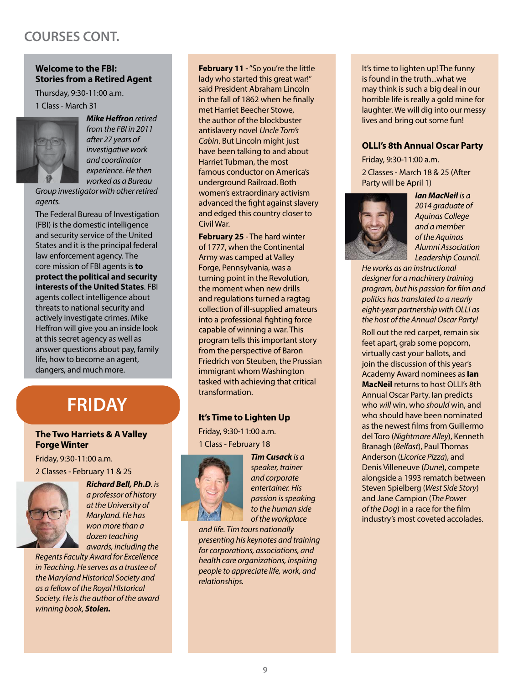### **COURSES CONT.**

#### **Welcome to the FBI: Stories from a Retired Agent**

Thursday, 9:30-11:00 a.m. 1 Class - March 31



*Mike Heffron retired from the FBI in 2011 after 27 years of investigative work and coordinator experience. He then worked as a Bureau* 

*Group investigator with other retired agents.* 

The Federal Bureau of Investigation (FBI) is the domestic intelligence and security service of the United States and it is the principal federal law enforcement agency. The core mission of FBI agents is **to protect the political and security interests of the United States**. FBI agents collect intelligence about threats to national security and actively investigate crimes. Mike Heffron will give you an inside look at this secret agency as well as answer questions about pay, family life, how to become an agent, dangers, and much more.

### **FRIDAY**

#### **The Two Harriets & A Valley Forge Winter**

Friday, 9:30-11:00 a.m. 2 Classes - February 11 & 25



*Richard Bell, Ph.D. is a professor of history at the University of Maryland. He has won more than a dozen teaching awards, including the* 

*Regents Faculty Award for Excellence in Teaching. He serves as a trustee of the Maryland Historical Society and as a fellow of the Royal HIstorical Society. He is the author of the award winning book, Stolen.*

**February 11 - "So you're the little** lady who started this great war!" said President Abraham Lincoln in the fall of 1862 when he finally met Harriet Beecher Stowe, the author of the blockbuster antislavery novel *Uncle Tom's Cabin*. But Lincoln might just have been talking to and about Harriet Tubman, the most famous conductor on America's underground Railroad. Both women's extraordinary activism advanced the fight against slavery and edged this country closer to Civil War.

**February 25** - The hard winter of 1777, when the Continental Army was camped at Valley Forge, Pennsylvania, was a turning point in the Revolution, the moment when new drills and regulations turned a ragtag collection of ill-supplied amateurs into a professional fighting force capable of winning a war. This program tells this important story from the perspective of Baron Friedrich von Steuben, the Prussian immigrant whom Washington tasked with achieving that critical transformation.

#### **It's Time to Lighten Up**

Friday, 9:30-11:00 a.m. 1 Class - February 18



*Tim Cusack is a speaker, trainer and corporate entertainer. His passion is speaking to the human side of the workplace* 

*and life. Tim tours nationally presenting his keynotes and training for corporations, associations, and health care organizations, inspiring people to appreciate life, work, and relationships.*

It's time to lighten up! The funny is found in the truth...what we may think is such a big deal in our horrible life is really a gold mine for laughter. We will dig into our messy lives and bring out some fun!

#### **OLLI's 8th Annual Oscar Party**

Friday, 9:30-11:00 a.m. 2 Classes - March 18 & 25 (After Party will be April 1)



*Ian MacNeil is a 2014 graduate of Aquinas College and a member of the Aquinas Alumni Association Leadership Council.* 

*He works as an instructional designer for a machinery training program, but his passion for film and politics has translated to a nearly eight-year partnership with OLLI as the host of the Annual Oscar Party!*

Roll out the red carpet, remain six feet apart, grab some popcorn, virtually cast your ballots, and join the discussion of this year's Academy Award nominees as **Ian MacNeil** returns to host OLLI's 8th Annual Oscar Party. Ian predicts who *will* win, who *should* win, and who should have been nominated as the newest films from Guillermo del Toro (*Nightmare Alley*), Kenneth Branagh (*Belfast*), Paul Thomas Anderson (*Licorice Pizza*), and Denis Villeneuve (*Dune*), compete alongside a 1993 rematch between Steven Spielberg (*West Side Story*) and Jane Campion (*The Power of the Dog*) in a race for the film industry's most coveted accolades.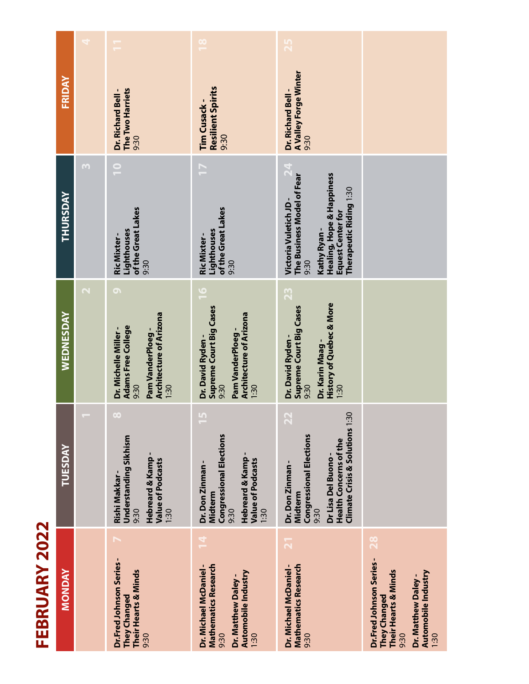| r       |
|---------|
| t       |
|         |
| C       |
|         |
| г       |
|         |
|         |
|         |
| r.      |
| C<br>r. |
|         |
|         |

| $\frac{8}{1}$                                                                                                                                                           |                                                                                                                                                                                                                                            |                                                                                                                                            |
|-------------------------------------------------------------------------------------------------------------------------------------------------------------------------|--------------------------------------------------------------------------------------------------------------------------------------------------------------------------------------------------------------------------------------------|--------------------------------------------------------------------------------------------------------------------------------------------|
| Resilient Spirits<br>The Two Harriets<br>Tim Cusack-<br>9:30<br>9:30                                                                                                    | <b>A Valley Forge Winter</b><br>Dr. Richard Bell-<br>9:30                                                                                                                                                                                  |                                                                                                                                            |
| F<br>of the Great Lakes<br>of the Great Lakes<br>Lighthouses<br>Lighthouses<br>Ric Mixter-<br>9:30                                                                      | $\mathbf{24}$<br><b>Healing, Hope &amp; Happiness</b><br>The Business Model of Fear<br>Therapeutic Riding 1:30<br>Victoria Vuletich JD -<br>Equest Center for<br>Kathy Ryan-<br>9:30                                                       |                                                                                                                                            |
| $\frac{6}{1}$<br>Supreme Court Big Cases<br><b>Architecture of Arizona</b><br><b>Adams Free College</b><br>Pam VanderPloeg-<br>Dr. David Ryden-<br>9:30<br>1:30<br>9:30 | 23<br>History of Quebec & More<br>Supreme Court Big Cases<br><b>Architecture of Arizona</b><br>Dr. David Ryden-<br>Dr. Karin Maag-<br>9:30<br>1:30<br>1:30                                                                                 |                                                                                                                                            |
| L <sub>0</sub><br><b>Congressional Elections</b><br><b>Understanding Sikhism</b><br>Hebreard & Kamp-<br>Value of Podcasts<br>Dr. Don Zinman-<br>Midterm<br>9:30<br>1:30 | $\ddot{30}$<br>R<br><b>Climate Crisis &amp; Solutions 1</b><br><b>Congressional Elections</b><br><b>Health Concerns of the</b><br>Dr Lisa Del Buono-<br>Hebreard & Kamp<br>Value of Podcasts<br>Dr. Don Zinman-<br>Midterm<br>1:30<br>9:30 |                                                                                                                                            |
| 14<br><b>Mathematics Research</b><br>Dr. Michael McDaniel -<br>Their Hearts & Minds<br><b>They Changed</b><br>9:30<br>9:30                                              | $\overline{21}$<br>Dr. Michael McDaniel -<br><b>Mathematics Research</b><br>Automobile Industry<br>1:30<br>9:30                                                                                                                            | <b>82</b><br>Dr.Fred Johnson Series-<br>Their Hearts & Minds<br>Automobile Industry<br>Dr. Matthew Daley -<br>They Changed<br>9:30<br>1:30 |
|                                                                                                                                                                         |                                                                                                                                                                                                                                            | 9:30<br>Pam VanderPloeg-<br>9:30<br>Dr. Matthew Daley -                                                                                    |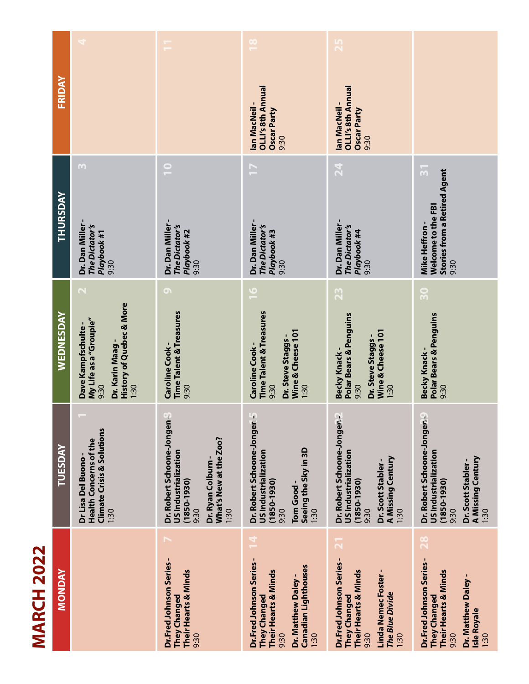| I |  |
|---|--|
| r |  |
|   |  |
| ľ |  |
|   |  |
|   |  |
|   |  |
|   |  |
|   |  |

| FRIDAY         |                                                                                                                                             |                                                                                                                                     | OLLI's 8th Annual<br>lan MacNeil-<br>Oscar Party                                                                                                                        | OLLI's 8th Annual<br>lan MacNeil-<br>Oscar Party                                                                                                   |                                                                                                                                                  |
|----------------|---------------------------------------------------------------------------------------------------------------------------------------------|-------------------------------------------------------------------------------------------------------------------------------------|-------------------------------------------------------------------------------------------------------------------------------------------------------------------------|----------------------------------------------------------------------------------------------------------------------------------------------------|--------------------------------------------------------------------------------------------------------------------------------------------------|
| THURSDAY       | M<br>Dr. Dan Miller -<br>The Dictator's<br>Playbook #1<br>9:30                                                                              | $\overline{\phantom{0}}$<br>Dr. Dan Miller-<br>The Dictator's<br>Playbook #2<br>9:30                                                | 9:30<br>F<br>Dr. Dan Miller-<br>The Dictator's<br>Playbook #3<br>9:30                                                                                                   | 9:30<br>$\mathbf{z}$<br>Dr. Dan Miller -<br>The Dictator's<br>Playbook #4<br>9:30                                                                  | $\overline{3}$<br><b>Stories from a Retired Agent</b><br>Welcome to the FBI<br>Mike Heffron-<br>9:30                                             |
| WEDNESDAY      | $\mathbf{\Omega}$<br><b>History of Quebec &amp; More</b><br>My Life as a "Groupie"<br>Dave Kampfschulte-<br>Dr. Karin Maag-<br>9:30<br>1:30 | $\bullet$<br><b>Time Talent &amp; Treasures</b><br>Caroline Cook -<br>9:30                                                          | $\overline{\mathbf{0}}$<br><b>Time Talent &amp; Treasures</b><br>Wine & Cheese 101<br>Dr. Steve Staggs -<br>Caroline Cook -<br>9:30<br>1:30                             | 23<br><b>Polar Bears &amp; Penguins</b><br>Wine & Cheese 101<br>Dr. Steve Staggs -<br>Becky Knack-<br>1:30<br>9:30                                 | ႙<br><b>Polar Bears &amp; Penguins</b><br>Becky Knack -<br>9:30                                                                                  |
| <b>TUESDAY</b> | <b>Climate Crisis &amp; Solutions</b><br>Health Concerns of the<br>Dr Lisa Del Buono-<br>1:30                                               | Dr. Robert Schoone-Jongen<br>What's New at the Zoo?<br>US Industrialization<br>Dr. Ryan Colburn-<br>$(1850 - 1930)$<br>9:30<br>1:30 | $\mathbf{r}$<br>Dr. Robert Schoone-Jonger<br>Seeing the Sky in 3D<br>US Industrialization<br>$(1850 - 1930)$<br>Tom Good-<br>1:30<br>9:30                               | o,<br>Dr. Robert Schoone-Jonger.<br>US Industrialization<br>A Missing Century<br>Dr. Scott Stabler-<br>$(1850 - 1930)$<br>1:30<br>9:30             | Dr. Robert Schoone-Jonger.<br>US Industrialization<br><b>A Missing Century</b><br>Dr. Scott Stabler-<br>$(1850 - 1930)$<br>9:30<br>1:30          |
| <b>MONDAY</b>  |                                                                                                                                             | Dr.Fred Johnson Series-<br>Their Hearts & Minds<br><b>They Changed</b><br>9:30                                                      | $\overline{\mathbf{r}}$<br>Dr.Fred Johnson Series-<br><b>Canadian Lighthouses</b><br>Their Hearts & Minds<br>Dr. Matthew Daley -<br><b>They Changed</b><br>1:30<br>9:30 | $\overline{2}$<br>Dr.Fred Johnson Series-<br>Their Hearts & Minds<br>Linda Nemec Foster-<br><b>The Blue Divide</b><br>They Changed<br>9:30<br>1:30 | <b>28</b><br>Dr.Fred Johnson Series-<br>Their Hearts & Minds<br>Dr. Matthew Daley -<br><b>They Changed</b><br><b>Isle Royale</b><br>9:30<br>1:30 |